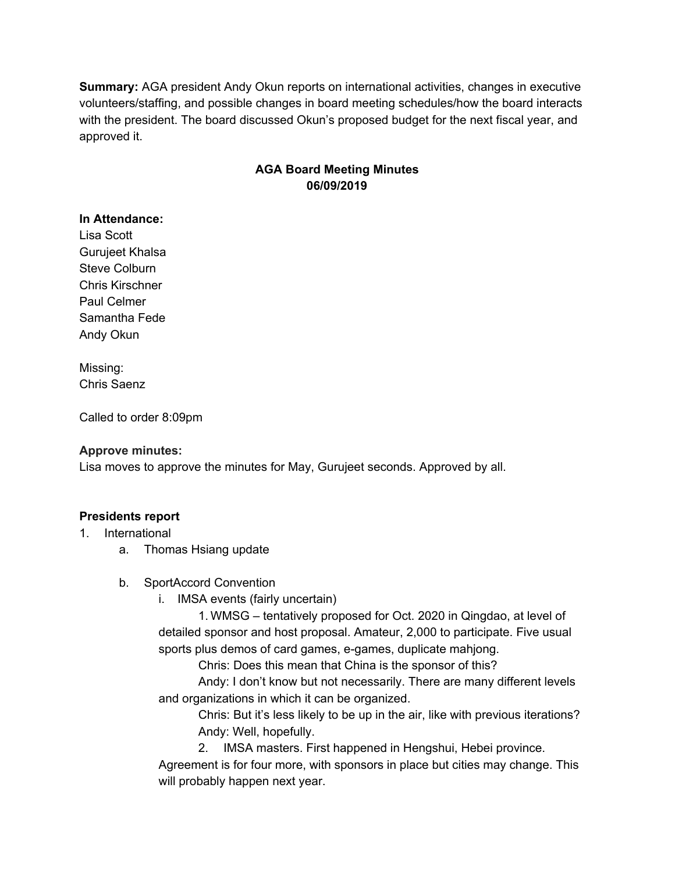**Summary:** AGA president Andy Okun reports on international activities, changes in executive volunteers/staffing, and possible changes in board meeting schedules/how the board interacts with the president. The board discussed Okun's proposed budget for the next fiscal year, and approved it.

### **AGA Board Meeting Minutes 06/09/2019**

#### **In Attendance:**

Lisa Scott Gurujeet Khalsa Steve Colburn Chris Kirschner Paul Celmer Samantha Fede Andy Okun

Missing: Chris Saenz

Called to order 8:09pm

#### **Approve minutes:**

Lisa moves to approve the minutes for May, Gurujeet seconds. Approved by all.

#### **Presidents report**

- 1. International
	- a. Thomas Hsiang update
	- b. SportAccord Convention
		- i. IMSA events (fairly uncertain)

1. WMSG – tentatively proposed for Oct. 2020 in Qingdao, at level of detailed sponsor and host proposal. Amateur, 2,000 to participate. Five usual sports plus demos of card games, e-games, duplicate mahjong.

Chris: Does this mean that China is the sponsor of this?

Andy: I don't know but not necessarily. There are many different levels and organizations in which it can be organized.

Chris: But it's less likely to be up in the air, like with previous iterations? Andy: Well, hopefully.

2. IMSA masters. First happened in Hengshui, Hebei province.

Agreement is for four more, with sponsors in place but cities may change. This will probably happen next year.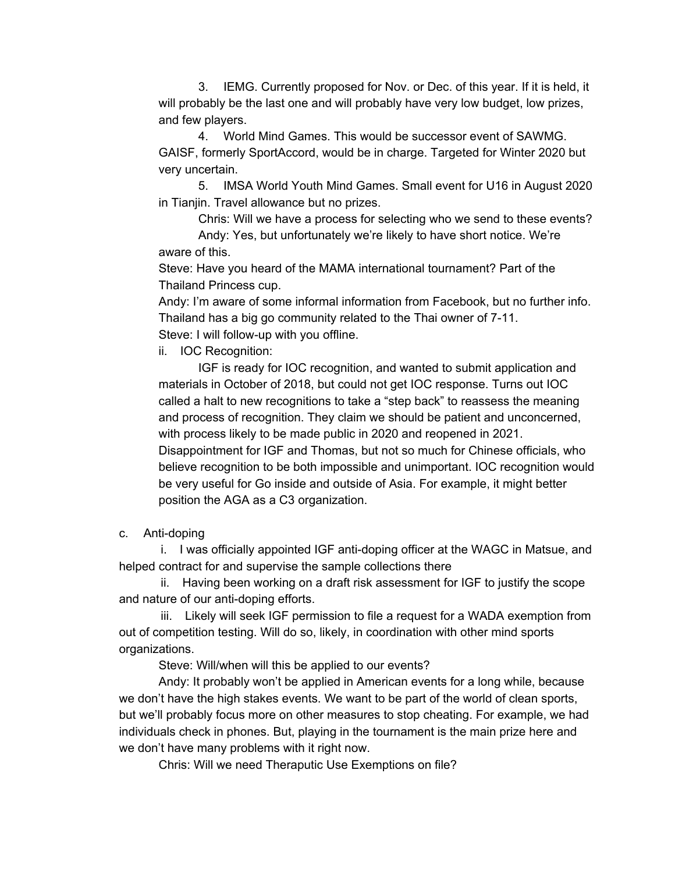3. IEMG. Currently proposed for Nov. or Dec. of this year. If it is held, it will probably be the last one and will probably have very low budget, low prizes, and few players.

4. World Mind Games. This would be successor event of SAWMG. GAISF, formerly SportAccord, would be in charge. Targeted for Winter 2020 but very uncertain.

5. IMSA World Youth Mind Games. Small event for U16 in August 2020 in Tianjin. Travel allowance but no prizes.

Chris: Will we have a process for selecting who we send to these events? Andy: Yes, but unfortunately we're likely to have short notice. We're

aware of this.

Steve: Have you heard of the MAMA international tournament? Part of the Thailand Princess cup.

Andy: I'm aware of some informal information from Facebook, but no further info. Thailand has a big go community related to the Thai owner of 7-11. Steve: I will follow-up with you offline.

ii. IOC Recognition:

IGF is ready for IOC recognition, and wanted to submit application and materials in October of 2018, but could not get IOC response. Turns out IOC called a halt to new recognitions to take a "step back" to reassess the meaning and process of recognition. They claim we should be patient and unconcerned, with process likely to be made public in 2020 and reopened in 2021. Disappointment for IGF and Thomas, but not so much for Chinese officials, who believe recognition to be both impossible and unimportant. IOC recognition would be very useful for Go inside and outside of Asia. For example, it might better position the AGA as a C3 organization.

### c. Anti-doping

i. I was officially appointed IGF anti-doping officer at the WAGC in Matsue, and helped contract for and supervise the sample collections there

ii. Having been working on a draft risk assessment for IGF to justify the scope and nature of our anti-doping efforts.

iii. Likely will seek IGF permission to file a request for a WADA exemption from out of competition testing. Will do so, likely, in coordination with other mind sports organizations.

Steve: Will/when will this be applied to our events?

Andy: It probably won't be applied in American events for a long while, because we don't have the high stakes events. We want to be part of the world of clean sports, but we'll probably focus more on other measures to stop cheating. For example, we had individuals check in phones. But, playing in the tournament is the main prize here and we don't have many problems with it right now.

Chris: Will we need Theraputic Use Exemptions on file?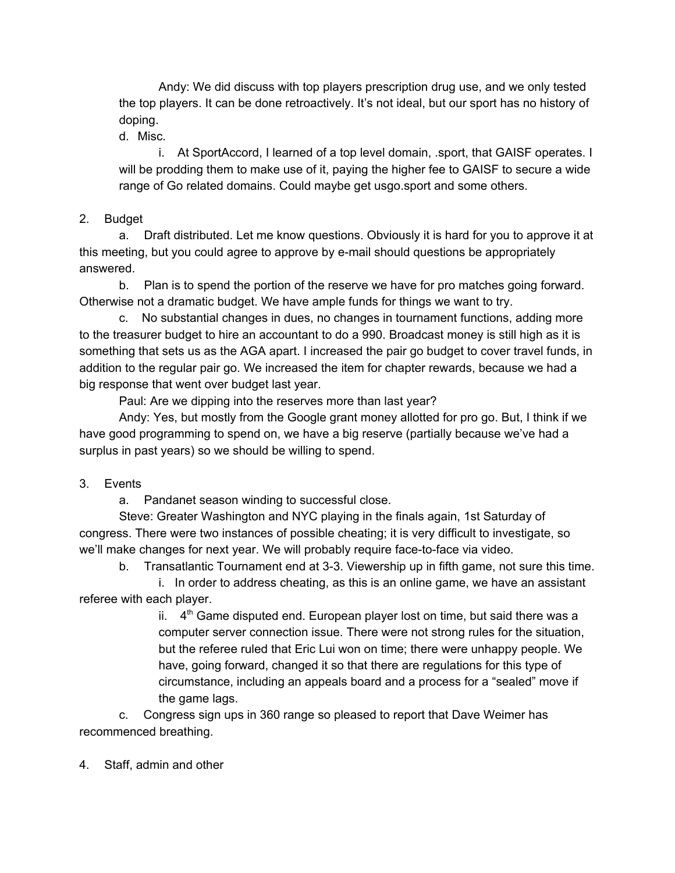Andy: We did discuss with top players prescription drug use, and we only tested the top players. It can be done retroactively. It's not ideal, but our sport has no history of doping.

d. Misc.

i. At SportAccord, I learned of a top level domain, .sport, that GAISF operates. I will be prodding them to make use of it, paying the higher fee to GAISF to secure a wide range of Go related domains. Could maybe get usgo.sport and some others.

### 2. Budget

a. Draft distributed. Let me know questions. Obviously it is hard for you to approve it at this meeting, but you could agree to approve by e-mail should questions be appropriately answered.

b. Plan is to spend the portion of the reserve we have for pro matches going forward. Otherwise not a dramatic budget. We have ample funds for things we want to try.

c. No substantial changes in dues, no changes in tournament functions, adding more to the treasurer budget to hire an accountant to do a 990. Broadcast money is still high as it is something that sets us as the AGA apart. I increased the pair go budget to cover travel funds, in addition to the regular pair go. We increased the item for chapter rewards, because we had a big response that went over budget last year.

Paul: Are we dipping into the reserves more than last year?

Andy: Yes, but mostly from the Google grant money allotted for pro go. But, I think if we have good programming to spend on, we have a big reserve (partially because we've had a surplus in past years) so we should be willing to spend.

## 3. Events

a. Pandanet season winding to successful close.

Steve: Greater Washington and NYC playing in the finals again, 1st Saturday of congress. There were two instances of possible cheating; it is very difficult to investigate, so we'll make changes for next year. We will probably require face-to-face via video.

b. Transatlantic Tournament end at 3-3. Viewership up in fifth game, not sure this time.

i. In order to address cheating, as this is an online game, we have an assistant referee with each player.

> ii.  $4<sup>th</sup>$  Game disputed end. European player lost on time, but said there was a computer server connection issue. There were not strong rules for the situation, but the referee ruled that Eric Lui won on time; there were unhappy people. We have, going forward, changed it so that there are regulations for this type of circumstance, including an appeals board and a process for a "sealed" move if the game lags.

c. Congress sign ups in 360 range so pleased to report that Dave Weimer has recommenced breathing.

4. Staff, admin and other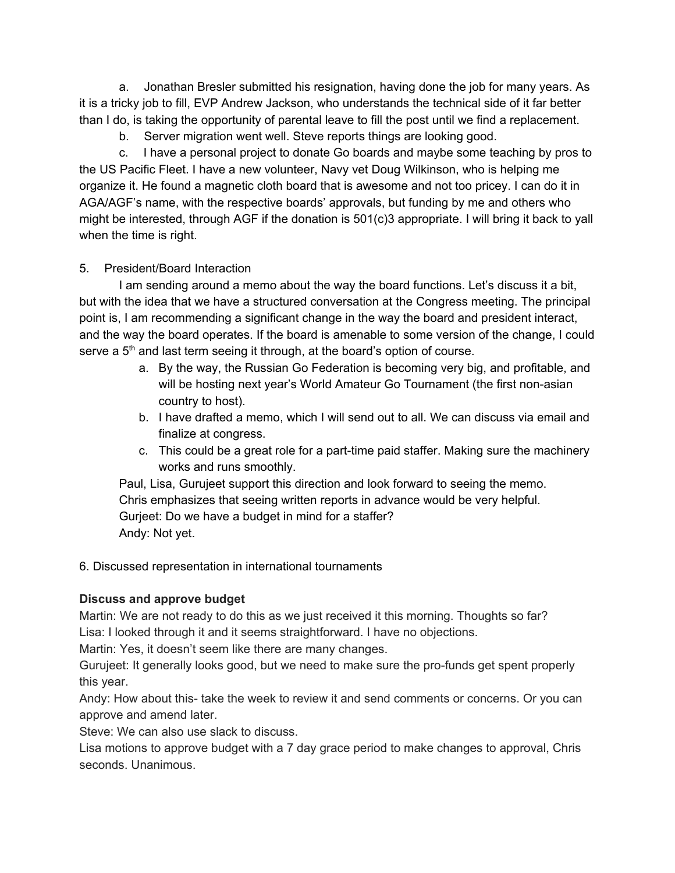a. Jonathan Bresler submitted his resignation, having done the job for many years. As it is a tricky job to fill, EVP Andrew Jackson, who understands the technical side of it far better than I do, is taking the opportunity of parental leave to fill the post until we find a replacement.

b. Server migration went well. Steve reports things are looking good.

c. I have a personal project to donate Go boards and maybe some teaching by pros to the US Pacific Fleet. I have a new volunteer, Navy vet Doug Wilkinson, who is helping me organize it. He found a magnetic cloth board that is awesome and not too pricey. I can do it in AGA/AGF's name, with the respective boards' approvals, but funding by me and others who might be interested, through AGF if the donation is 501(c)3 appropriate. I will bring it back to yall when the time is right.

## 5. President/Board Interaction

I am sending around a memo about the way the board functions. Let's discuss it a bit, but with the idea that we have a structured conversation at the Congress meeting. The principal point is, I am recommending a significant change in the way the board and president interact, and the way the board operates. If the board is amenable to some version of the change, I could serve a  $5<sup>th</sup>$  and last term seeing it through, at the board's option of course.

- a. By the way, the Russian Go Federation is becoming very big, and profitable, and will be hosting next year's World Amateur Go Tournament (the first non-asian country to host).
- b. I have drafted a memo, which I will send out to all. We can discuss via email and finalize at congress.
- c. This could be a great role for a part-time paid staffer. Making sure the machinery works and runs smoothly.

Paul, Lisa, Gurujeet support this direction and look forward to seeing the memo. Chris emphasizes that seeing written reports in advance would be very helpful. Gurjeet: Do we have a budget in mind for a staffer? Andy: Not yet.

## 6. Discussed representation in international tournaments

# **Discuss and approve budget**

Martin: We are not ready to do this as we just received it this morning. Thoughts so far? Lisa: I looked through it and it seems straightforward. I have no objections.

Martin: Yes, it doesn't seem like there are many changes.

Gurujeet: It generally looks good, but we need to make sure the pro-funds get spent properly this year.

Andy: How about this- take the week to review it and send comments or concerns. Or you can approve and amend later.

Steve: We can also use slack to discuss.

Lisa motions to approve budget with a 7 day grace period to make changes to approval, Chris seconds. Unanimous.